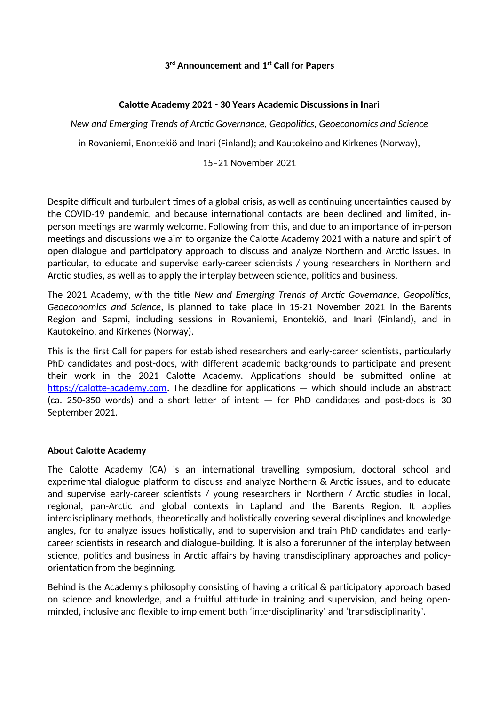# **3 rd Announcement and 1 st Call for Papers**

### **Calotte Academy 2021 - 30 Years Academic Discussions in Inari**

*New and Emerging Trends of Arctic Governance, Geopolitics, Geoeconomics and Science*

in Rovaniemi, Enontekiö and Inari (Finland); and Kautokeino and Kirkenes (Norway),

#### 15–21 November 2021

Despite difficult and turbulent times of a global crisis, as well as continuing uncertainties caused by the COVID-19 pandemic, and because international contacts are been declined and limited, inperson meetings are warmly welcome. Following from this, and due to an importance of in-person meetings and discussions we aim to organize the Calotte Academy 2021 with a nature and spirit of open dialogue and participatory approach to discuss and analyze Northern and Arctic issues. In particular, to educate and supervise early-career scientists / young researchers in Northern and Arctic studies, as well as to apply the interplay between science, politics and business.

The 2021 Academy, with the title *New and Emerging Trends of Arctic Governance, Geopolitics, Geoeconomics and Science*, is planned to take place in 15-21 November 2021 in the Barents Region and Sapmi, including sessions in Rovaniemi, Enontekiö, and Inari (Finland), and in Kautokeino, and Kirkenes (Norway).

This is the first Call for papers for established researchers and early-career scientists, particularly PhD candidates and post-docs, with different academic backgrounds to participate and present their work in the 2021 Calotte Academy. Applications should be submitted online at https://calotte-academy.com. The deadline for applications — which should include an abstract (ca. 250-350 words) and a short letter of intent — for PhD candidates and post-docs is 30 September 2021.

#### **About Calotte Academy**

The Calotte Academy (CA) is an international travelling symposium, doctoral school and experimental dialogue platform to discuss and analyze Northern & Arctic issues, and to educate and supervise early-career scientists / young researchers in Northern / Arctic studies in local, regional, pan-Arctic and global contexts in Lapland and the Barents Region. It applies interdisciplinary methods, theoretically and holistically covering several disciplines and knowledge angles, for to analyze issues holistically, and to supervision and train PhD candidates and earlycareer scientists in research and dialogue-building. It is also a forerunner of the interplay between science, politics and business in Arctic affairs by having transdisciplinary approaches and policyorientation from the beginning.

Behind is the Academy's philosophy consisting of having a critical & participatory approach based on science and knowledge, and a fruitful attitude in training and supervision, and being openminded, inclusive and flexible to implement both 'interdisciplinarity' and 'transdisciplinarity'.